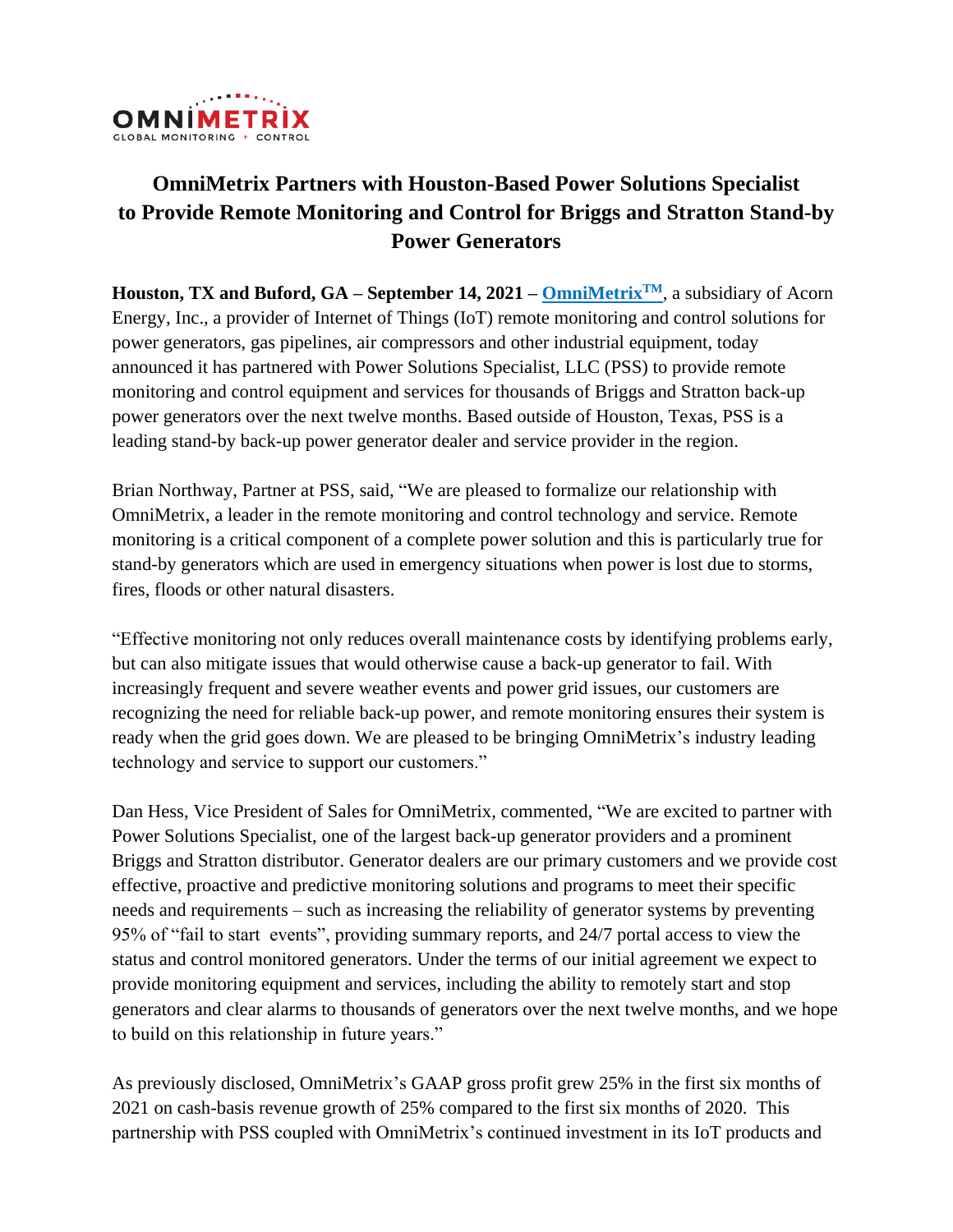

# **OmniMetrix Partners with Houston-Based Power Solutions Specialist to Provide Remote Monitoring and Control for Briggs and Stratton Stand-by Power Generators**

**Houston, TX and Buford, GA – September 14, 2021 – [OmniMetrix](http://www.omnimetrix.net/)TM**, a subsidiary of Acorn Energy, Inc., a provider of Internet of Things (IoT) remote monitoring and control solutions for power generators, gas pipelines, air compressors and other industrial equipment, today announced it has partnered with Power Solutions Specialist, LLC (PSS) to provide remote monitoring and control equipment and services for thousands of Briggs and Stratton back-up power generators over the next twelve months. Based outside of Houston, Texas, PSS is a leading stand-by back-up power generator dealer and service provider in the region.

Brian Northway, Partner at PSS, said, "We are pleased to formalize our relationship with OmniMetrix, a leader in the remote monitoring and control technology and service. Remote monitoring is a critical component of a complete power solution and this is particularly true for stand-by generators which are used in emergency situations when power is lost due to storms, fires, floods or other natural disasters.

"Effective monitoring not only reduces overall maintenance costs by identifying problems early, but can also mitigate issues that would otherwise cause a back-up generator to fail. With increasingly frequent and severe weather events and power grid issues, our customers are recognizing the need for reliable back-up power, and remote monitoring ensures their system is ready when the grid goes down. We are pleased to be bringing OmniMetrix's industry leading technology and service to support our customers."

Dan Hess, Vice President of Sales for OmniMetrix, commented, "We are excited to partner with Power Solutions Specialist, one of the largest back-up generator providers and a prominent Briggs and Stratton distributor. Generator dealers are our primary customers and we provide cost effective, proactive and predictive monitoring solutions and programs to meet their specific needs and requirements – such as increasing the reliability of generator systems by preventing 95% of "fail to start events", providing summary reports, and 24/7 portal access to view the status and control monitored generators. Under the terms of our initial agreement we expect to provide monitoring equipment and services, including the ability to remotely start and stop generators and clear alarms to thousands of generators over the next twelve months, and we hope to build on this relationship in future years."

As previously disclosed, OmniMetrix's GAAP gross profit grew 25% in the first six months of 2021 on cash-basis revenue growth of 25% compared to the first six months of 2020. This partnership with PSS coupled with OmniMetrix's continued investment in its IoT products and